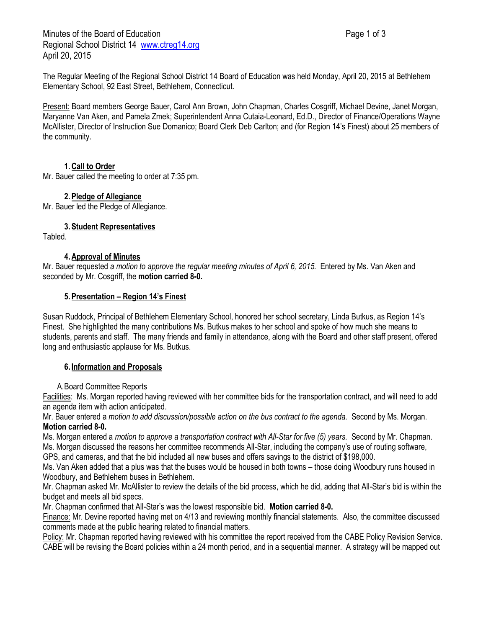Minutes of the Board of Education **Page 1 of 3** Page 1 of 3 Regional School District 14 [www.ctreg14.org](http://www.ctreg14.org/) April 20, 2015

The Regular Meeting of the Regional School District 14 Board of Education was held Monday, April 20, 2015 at Bethlehem Elementary School, 92 East Street, Bethlehem, Connecticut.

Present: Board members George Bauer, Carol Ann Brown, John Chapman, Charles Cosgriff, Michael Devine, Janet Morgan, Maryanne Van Aken, and Pamela Zmek; Superintendent Anna Cutaia-Leonard, Ed.D., Director of Finance/Operations Wayne McAllister, Director of Instruction Sue Domanico; Board Clerk Deb Carlton; and (for Region 14's Finest) about 25 members of the community.

### **1.Call to Order**

Mr. Bauer called the meeting to order at 7:35 pm.

#### **2.Pledge of Allegiance**

Mr. Bauer led the Pledge of Allegiance.

**3.Student Representatives**

Tabled.

### **4.Approval of Minutes**

Mr. Bauer requested *a motion to approve the regular meeting minutes of April 6, 2015.* Entered by Ms. Van Aken and seconded by Mr. Cosgriff, the **motion carried 8-0.**

#### **5.Presentation – Region 14's Finest**

Susan Ruddock, Principal of Bethlehem Elementary School, honored her school secretary, Linda Butkus, as Region 14's Finest. She highlighted the many contributions Ms. Butkus makes to her school and spoke of how much she means to students, parents and staff. The many friends and family in attendance, along with the Board and other staff present, offered long and enthusiastic applause for Ms. Butkus.

#### **6. Information and Proposals**

A.Board Committee Reports

Facilities: Ms. Morgan reported having reviewed with her committee bids for the transportation contract, and will need to add an agenda item with action anticipated.

Mr. Bauer entered a *motion to add discussion/possible action on the bus contract to the agenda.* Second by Ms. Morgan. **Motion carried 8-0.**

Ms. Morgan entered a *motion to approve a transportation contract with All-Star for five (5) years.* Second by Mr. Chapman. Ms. Morgan discussed the reasons her committee recommends All-Star, including the company's use of routing software, GPS, and cameras, and that the bid included all new buses and offers savings to the district of \$198,000.

Ms. Van Aken added that a plus was that the buses would be housed in both towns – those doing Woodbury runs housed in Woodbury, and Bethlehem buses in Bethlehem.

Mr. Chapman asked Mr. McAllister to review the details of the bid process, which he did, adding that All-Star's bid is within the budget and meets all bid specs.

Mr. Chapman confirmed that All-Star's was the lowest responsible bid. **Motion carried 8-0.**

Finance: Mr. Devine reported having met on 4/13 and reviewing monthly financial statements. Also, the committee discussed comments made at the public hearing related to financial matters.

Policy: Mr. Chapman reported having reviewed with his committee the report received from the CABE Policy Revision Service. CABE will be revising the Board policies within a 24 month period, and in a sequential manner. A strategy will be mapped out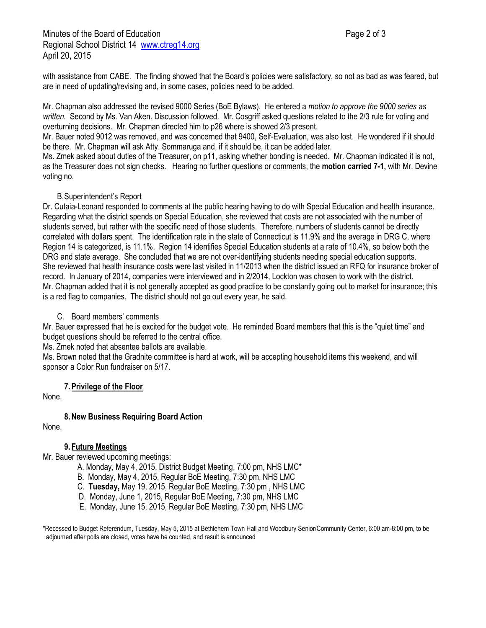with assistance from CABE. The finding showed that the Board's policies were satisfactory, so not as bad as was feared, but are in need of updating/revising and, in some cases, policies need to be added.

Mr. Chapman also addressed the revised 9000 Series (BoE Bylaws). He entered a *motion to approve the 9000 series as written.* Second by Ms. Van Aken. Discussion followed. Mr. Cosgriff asked questions related to the 2/3 rule for voting and overturning decisions. Mr. Chapman directed him to p26 where is showed 2/3 present.

Mr. Bauer noted 9012 was removed, and was concerned that 9400, Self-Evaluation, was also lost. He wondered if it should be there. Mr. Chapman will ask Atty. Sommaruga and, if it should be, it can be added later.

Ms. Zmek asked about duties of the Treasurer, on p11, asking whether bonding is needed. Mr. Chapman indicated it is not, as the Treasurer does not sign checks. Hearing no further questions or comments, the **motion carried 7-1,** with Mr. Devine voting no.

# B.Superintendent's Report

Dr. Cutaia-Leonard responded to comments at the public hearing having to do with Special Education and health insurance. Regarding what the district spends on Special Education, she reviewed that costs are not associated with the number of students served, but rather with the specific need of those students. Therefore, numbers of students cannot be directly correlated with dollars spent. The identification rate in the state of Connecticut is 11.9% and the average in DRG C, where Region 14 is categorized, is 11.1%. Region 14 identifies Special Education students at a rate of 10.4%, so below both the DRG and state average. She concluded that we are not over-identifying students needing special education supports. She reviewed that health insurance costs were last visited in 11/2013 when the district issued an RFQ for insurance broker of record. In January of 2014, companies were interviewed and in 2/2014, Lockton was chosen to work with the district. Mr. Chapman added that it is not generally accepted as good practice to be constantly going out to market for insurance; this is a red flag to companies. The district should not go out every year, he said.

### C. Board members' comments

Mr. Bauer expressed that he is excited for the budget vote. He reminded Board members that this is the "quiet time" and budget questions should be referred to the central office.

Ms. Zmek noted that absentee ballots are available.

Ms. Brown noted that the Gradnite committee is hard at work, will be accepting household items this weekend, and will sponsor a Color Run fundraiser on 5/17.

# **7.Privilege of the Floor**

None.

# **8.New Business Requiring Board Action**

None.

# **9. Future Meetings**

Mr. Bauer reviewed upcoming meetings:

- A. Monday, May 4, 2015, District Budget Meeting, 7:00 pm, NHS LMC\*
- B. Monday, May 4, 2015, Regular BoE Meeting, 7:30 pm, NHS LMC
- C. **Tuesday,** May 19, 2015, Regular BoE Meeting, 7:30 pm , NHS LMC
- D. Monday, June 1, 2015, Regular BoE Meeting, 7:30 pm, NHS LMC
- E. Monday, June 15, 2015, Regular BoE Meeting, 7:30 pm, NHS LMC

\*Recessed to Budget Referendum, Tuesday, May 5, 2015 at Bethlehem Town Hall and Woodbury Senior/Community Center, 6:00 am-8:00 pm, to be adjourned after polls are closed, votes have be counted, and result is announced